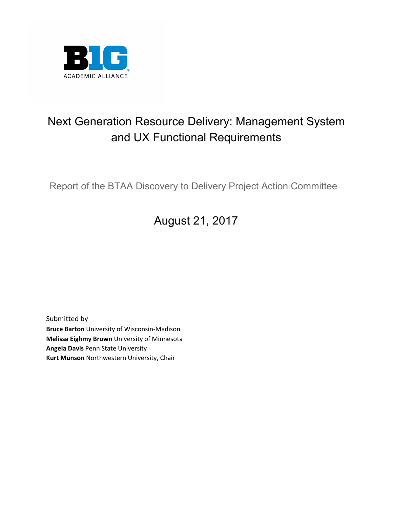

# Next Generation Resource Delivery: Management System and UX Functional Requirements

Report of the BTAA Discovery to Delivery Project Action Committee

# August 21, 2017

Submitted by **Bruce Barton** University of Wisconsin-Madison **Melissa Eighmy Brown** University of Minnesota **Angela Davis** Penn State University **Kurt Munson** Northwestern University, Chair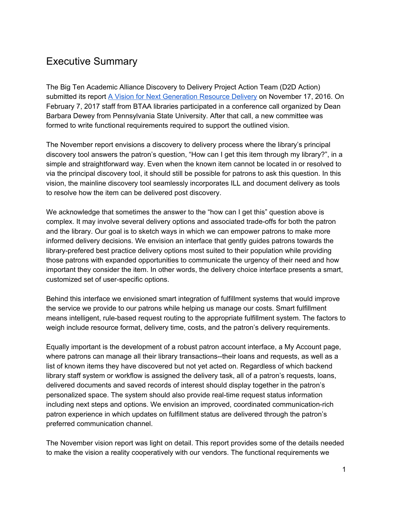## Executive Summary

The Big Ten Academic Alliance Discovery to Delivery Project Action Team (D2D Action) submitted its report A Vision for Next [Generation](https://www.btaa.org/docs/default-source/library/attachment-8-btaad2dactioncommitteereportdraft.pdf?sfvrsn=0) Resource Delivery on November 17, 2016. On February 7, 2017 staff from BTAA libraries participated in a conference call organized by Dean Barbara Dewey from Pennsylvania State University. After that call, a new committee was formed to write functional requirements required to support the outlined vision.

The November report envisions a discovery to delivery process where the library's principal discovery tool answers the patron's question, "How can I get this item through my library?", in a simple and straightforward way. Even when the known item cannot be located in or resolved to via the principal discovery tool, it should still be possible for patrons to ask this question. In this vision, the mainline discovery tool seamlessly incorporates ILL and document delivery as tools to resolve how the item can be delivered post discovery.

We acknowledge that sometimes the answer to the "how can I get this" question above is complex. It may involve several delivery options and associated trade-offs for both the patron and the library. Our goal is to sketch ways in which we can empower patrons to make more informed delivery decisions. We envision an interface that gently guides patrons towards the library-prefered best practice delivery options most suited to their population while providing those patrons with expanded opportunities to communicate the urgency of their need and how important they consider the item. In other words, the delivery choice interface presents a smart, customized set of user-specific options.

Behind this interface we envisioned smart integration of fulfillment systems that would improve the service we provide to our patrons while helping us manage our costs. Smart fulfillment means intelligent, rule-based request routing to the appropriate fulfillment system. The factors to weigh include resource format, delivery time, costs, and the patron's delivery requirements.

Equally important is the development of a robust patron account interface, a My Account page, where patrons can manage all their library transactions--their loans and requests, as well as a list of known items they have discovered but not yet acted on. Regardless of which backend library staff system or workflow is assigned the delivery task, all of a patron's requests, loans, delivered documents and saved records of interest should display together in the patron's personalized space. The system should also provide real-time request status information including next steps and options. We envision an improved, coordinated communication-rich patron experience in which updates on fulfillment status are delivered through the patron's preferred communication channel.

The November vision report was light on detail. This report provides some of the details needed to make the vision a reality cooperatively with our vendors. The functional requirements we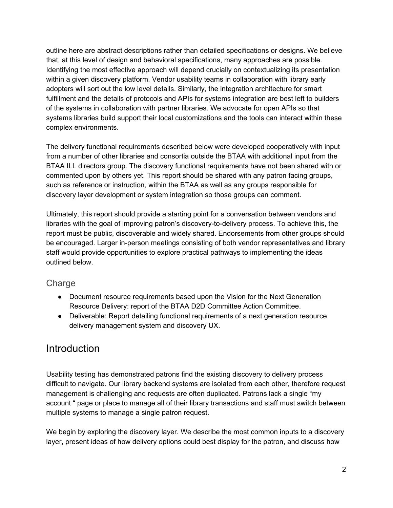outline here are abstract descriptions rather than detailed specifications or designs. We believe that, at this level of design and behavioral specifications, many approaches are possible. Identifying the most effective approach will depend crucially on contextualizing its presentation within a given discovery platform. Vendor usability teams in collaboration with library early adopters will sort out the low level details. Similarly, the integration architecture for smart fulfillment and the details of protocols and APIs for systems integration are best left to builders of the systems in collaboration with partner libraries. We advocate for open APIs so that systems libraries build support their local customizations and the tools can interact within these complex environments.

The delivery functional requirements described below were developed cooperatively with input from a number of other libraries and consortia outside the BTAA with additional input from the BTAA ILL directors group. The discovery functional requirements have not been shared with or commented upon by others yet. This report should be shared with any patron facing groups, such as reference or instruction, within the BTAA as well as any groups responsible for discovery layer development or system integration so those groups can comment.

Ultimately, this report should provide a starting point for a conversation between vendors and libraries with the goal of improving patron's discovery-to-delivery process. To achieve this, the report must be public, discoverable and widely shared. Endorsements from other groups should be encouraged. Larger in-person meetings consisting of both vendor representatives and library staff would provide opportunities to explore practical pathways to implementing the ideas outlined below.

#### **Charge**

- Document resource requirements based upon the Vision for the Next Generation Resource Delivery: report of the BTAA D2D Committee Action Committee.
- Deliverable: Report detailing functional requirements of a next generation resource delivery management system and discovery UX.

## Introduction

Usability testing has demonstrated patrons find the existing discovery to delivery process difficult to navigate. Our library backend systems are isolated from each other, therefore request management is challenging and requests are often duplicated. Patrons lack a single "my account " page or place to manage all of their library transactions and staff must switch between multiple systems to manage a single patron request.

We begin by exploring the discovery layer. We describe the most common inputs to a discovery layer, present ideas of how delivery options could best display for the patron, and discuss how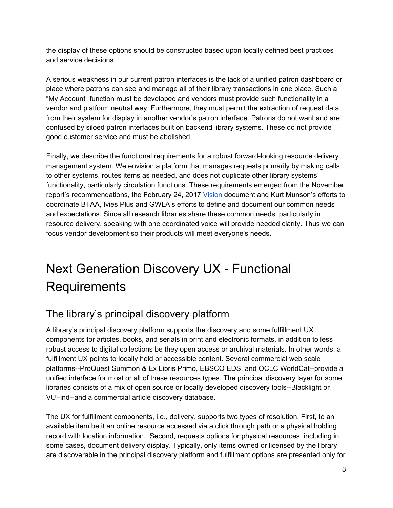the display of these options should be constructed based upon locally defined best practices and service decisions.

A serious weakness in our current patron interfaces is the lack of a unified patron dashboard or place where patrons can see and manage all of their library transactions in one place. Such a "My Account" function must be developed and vendors must provide such functionality in a vendor and platform neutral way. Furthermore, they must permit the extraction of request data from their system for display in another vendor's patron interface. Patrons do not want and are confused by siloed patron interfaces built on backend library systems. These do not provide good customer service and must be abolished.

Finally, we describe the functional requirements for a robust forward-looking resource delivery management system. We envision a platform that manages requests primarily by making calls to other systems, routes items as needed, and does not duplicate other library systems' functionality, particularly circulation functions. These requirements emerged from the November report's recommendations, the February 24, 2017 [Vision](https://www.btaa.org/docs/default-source/library/discoverysystemsvisiononepage.pdf?sfvrsn=2) document and Kurt Munson's efforts to coordinate BTAA, Ivies Plus and GWLA's efforts to define and document our common needs and expectations. Since all research libraries share these common needs, particularly in resource delivery, speaking with one coordinated voice will provide needed clarity. Thus we can focus vendor development so their products will meet everyone's needs.

# Next Generation Discovery UX - Functional **Requirements**

## The library's principal discovery platform

A library's principal discovery platform supports the discovery and some fulfillment UX components for articles, books, and serials in print and electronic formats, in addition to less robust access to digital collections be they open access or archival materials. In other words, a fulfillment UX points to locally held or accessible content. Several commercial web scale platforms--ProQuest Summon & Ex Libris Primo, EBSCO EDS, and OCLC WorldCat--provide a unified interface for most or all of these resources types. The principal discovery layer for some libraries consists of a mix of open source or locally developed discovery tools--Blacklight or VUFind--and a commercial article discovery database.

The UX for fulfillment components, i.e., delivery, supports two types of resolution. First, to an available item be it an online resource accessed via a click through path or a physical holding record with location information. Second, requests options for physical resources, including in some cases, document delivery display. Typically, only items owned or licensed by the library are discoverable in the principal discovery platform and fulfillment options are presented only for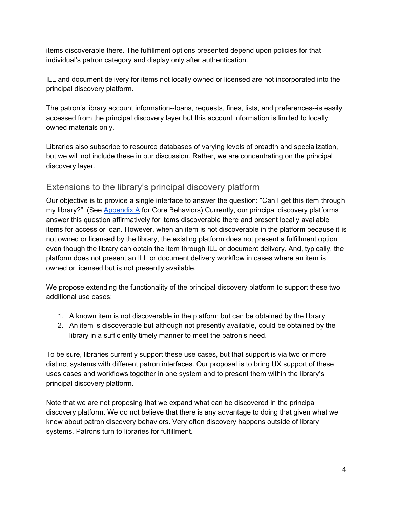items discoverable there. The fulfillment options presented depend upon policies for that individual's patron category and display only after authentication.

ILL and document delivery for items not locally owned or licensed are not incorporated into the principal discovery platform.

The patron's library account information--loans, requests, fines, lists, and preferences--is easily accessed from the principal discovery layer but this account information is limited to locally owned materials only.

Libraries also subscribe to resource databases of varying levels of breadth and specialization, but we will not include these in our discussion. Rather, we are concentrating on the principal discovery layer.

#### Extensions to the library's principal discovery platform

Our objective is to provide a single interface to answer the question: "Can I get this item through my library?". (See Appendix A for Core Behaviors) Currently, our principal discovery platforms answer this question affirmatively for items discoverable there and present locally available items for access or loan. However, when an item is not discoverable in the platform because it is not owned or licensed by the library, the existing platform does not present a fulfillment option even though the library can obtain the item through ILL or document delivery. And, typically, the platform does not present an ILL or document delivery workflow in cases where an item is owned or licensed but is not presently available.

We propose extending the functionality of the principal discovery platform to support these two additional use cases:

- 1. A known item is not discoverable in the platform but can be obtained by the library.
- 2. An item is discoverable but although not presently available, could be obtained by the library in a sufficiently timely manner to meet the patron's need.

To be sure, libraries currently support these use cases, but that support is via two or more distinct systems with different patron interfaces. Our proposal is to bring UX support of these uses cases and workflows together in one system and to present them within the library's principal discovery platform.

Note that we are not proposing that we expand what can be discovered in the principal discovery platform. We do not believe that there is any advantage to doing that given what we know about patron discovery behaviors. Very often discovery happens outside of library systems. Patrons turn to libraries for fulfillment.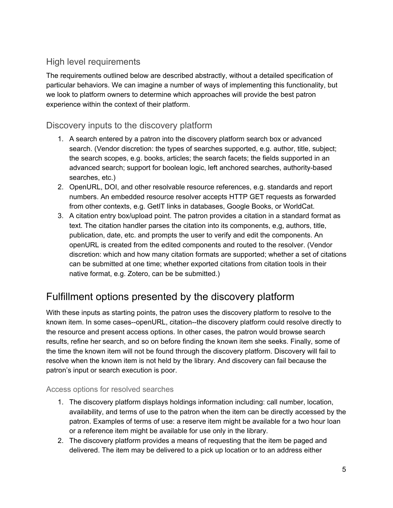#### High level requirements

The requirements outlined below are described abstractly, without a detailed specification of particular behaviors. We can imagine a number of ways of implementing this functionality, but we look to platform owners to determine which approaches will provide the best patron experience within the context of their platform.

#### Discovery inputs to the discovery platform

- 1. A search entered by a patron into the discovery platform search box or advanced search. (Vendor discretion: the types of searches supported, e.g. author, title, subject; the search scopes, e.g. books, articles; the search facets; the fields supported in an advanced search; support for boolean logic, left anchored searches, authority-based searches, etc.)
- 2. OpenURL, DOI, and other resolvable resource references, e.g. standards and report numbers. An embedded resource resolver accepts HTTP GET requests as forwarded from other contexts, e.g. GetIT links in databases, Google Books, or WorldCat.
- 3. A citation entry box/upload point. The patron provides a citation in a standard format as text. The citation handler parses the citation into its components, e,g, authors, title, publication, date, etc. and prompts the user to verify and edit the components. An openURL is created from the edited components and routed to the resolver. (Vendor discretion: which and how many citation formats are supported; whether a set of citations can be submitted at one time; whether exported citations from citation tools in their native format, e.g. Zotero, can be be submitted.)

## Fulfillment options presented by the discovery platform

With these inputs as starting points, the patron uses the discovery platform to resolve to the known item. In some cases--openURL, citation--the discovery platform could resolve directly to the resource and present access options. In other cases, the patron would browse search results, refine her search, and so on before finding the known item she seeks. Finally, some of the time the known item will not be found through the discovery platform. Discovery will fail to resolve when the known item is not held by the library. And discovery can fail because the patron's input or search execution is poor.

#### Access options for resolved searches

- 1. The discovery platform displays holdings information including: call number, location, availability, and terms of use to the patron when the item can be directly accessed by the patron. Examples of terms of use: a reserve item might be available for a two hour loan or a reference item might be available for use only in the library.
- 2. The discovery platform provides a means of requesting that the item be paged and delivered. The item may be delivered to a pick up location or to an address either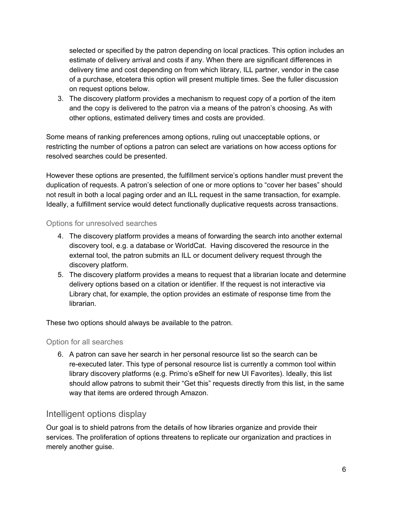selected or specified by the patron depending on local practices. This option includes an estimate of delivery arrival and costs if any. When there are significant differences in delivery time and cost depending on from which library, ILL partner, vendor in the case of a purchase, etcetera this option will present multiple times. See the fuller discussion on request options below.

3. The discovery platform provides a mechanism to request copy of a portion of the item and the copy is delivered to the patron via a means of the patron's choosing. As with other options, estimated delivery times and costs are provided.

Some means of ranking preferences among options, ruling out unacceptable options, or restricting the number of options a patron can select are variations on how access options for resolved searches could be presented.

However these options are presented, the fulfillment service's options handler must prevent the duplication of requests. A patron's selection of one or more options to "cover her bases" should not result in both a local paging order and an ILL request in the same transaction, for example. Ideally, a fulfillment service would detect functionally duplicative requests across transactions.

#### Options for unresolved searches

- 4. The discovery platform provides a means of forwarding the search into another external discovery tool, e.g. a database or WorldCat. Having discovered the resource in the external tool, the patron submits an ILL or document delivery request through the discovery platform.
- 5. The discovery platform provides a means to request that a librarian locate and determine delivery options based on a citation or identifier. If the request is not interactive via Library chat, for example, the option provides an estimate of response time from the librarian.

These two options should always be available to the patron.

Option for all searches

6. A patron can save her search in her personal resource list so the search can be re-executed later. This type of personal resource list is currently a common tool within library discovery platforms (e.g. Primo's eShelf for new UI Favorites). Ideally, this list should allow patrons to submit their "Get this" requests directly from this list, in the same way that items are ordered through Amazon.

#### Intelligent options display

Our goal is to shield patrons from the details of how libraries organize and provide their services. The proliferation of options threatens to replicate our organization and practices in merely another guise.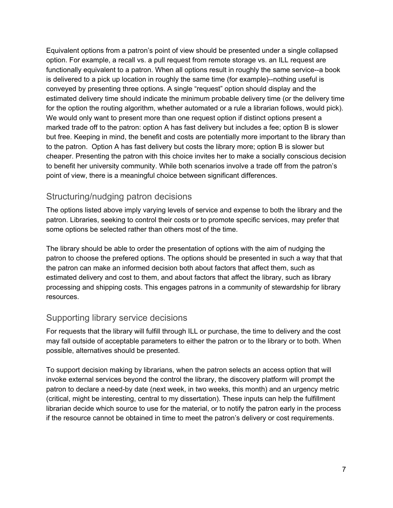Equivalent options from a patron's point of view should be presented under a single collapsed option. For example, a recall vs. a pull request from remote storage vs. an ILL request are functionally equivalent to a patron. When all options result in roughly the same service--a book is delivered to a pick up location in roughly the same time (for example)--nothing useful is conveyed by presenting three options. A single "request" option should display and the estimated delivery time should indicate the minimum probable delivery time (or the delivery time for the option the routing algorithm, whether automated or a rule a librarian follows, would pick). We would only want to present more than one request option if distinct options present a marked trade off to the patron: option A has fast delivery but includes a fee; option B is slower but free. Keeping in mind, the benefit and costs are potentially more important to the library than to the patron. Option A has fast delivery but costs the library more; option B is slower but cheaper. Presenting the patron with this choice invites her to make a socially conscious decision to benefit her university community. While both scenarios involve a trade off from the patron's point of view, there is a meaningful choice between significant differences.

#### Structuring/nudging patron decisions

The options listed above imply varying levels of service and expense to both the library and the patron. Libraries, seeking to control their costs or to promote specific services, may prefer that some options be selected rather than others most of the time.

The library should be able to order the presentation of options with the aim of nudging the patron to choose the prefered options. The options should be presented in such a way that that the patron can make an informed decision both about factors that affect them, such as estimated delivery and cost to them, and about factors that affect the library, such as library processing and shipping costs. This engages patrons in a community of stewardship for library resources.

#### Supporting library service decisions

For requests that the library will fulfill through ILL or purchase, the time to delivery and the cost may fall outside of acceptable parameters to either the patron or to the library or to both. When possible, alternatives should be presented.

To support decision making by librarians, when the patron selects an access option that will invoke external services beyond the control the library, the discovery platform will prompt the patron to declare a need-by date (next week, in two weeks, this month) and an urgency metric (critical, might be interesting, central to my dissertation). These inputs can help the fulfillment librarian decide which source to use for the material, or to notify the patron early in the process if the resource cannot be obtained in time to meet the patron's delivery or cost requirements.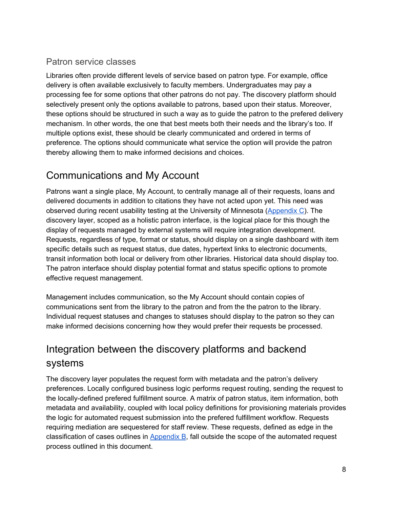#### Patron service classes

Libraries often provide different levels of service based on patron type. For example, office delivery is often available exclusively to faculty members. Undergraduates may pay a processing fee for some options that other patrons do not pay. The discovery platform should selectively present only the options available to patrons, based upon their status. Moreover, these options should be structured in such a way as to guide the patron to the prefered delivery mechanism. In other words, the one that best meets both their needs and the library's too. If multiple options exist, these should be clearly communicated and ordered in terms of preference. The options should communicate what service the option will provide the patron thereby allowing them to make informed decisions and choices.

## Communications and My Account

Patrons want a single place, My Account, to centrally manage all of their requests, loans and delivered documents in addition to citations they have not acted upon yet. This need was observed during recent usability testing at the University of Minnesota [\(Appendix](#page-19-0) C). The discovery layer, scoped as a holistic patron interface, is the logical place for this though the display of requests managed by external systems will require integration development. Requests, regardless of type, format or status, should display on a single dashboard with item specific details such as request status, due dates, hypertext links to electronic documents, transit information both local or delivery from other libraries. Historical data should display too. The patron interface should display potential format and status specific options to promote effective request management.

Management includes communication, so the My Account should contain copies of communications sent from the library to the patron and from the the patron to the library. Individual request statuses and changes to statuses should display to the patron so they can make informed decisions concerning how they would prefer their requests be processed.

# Integration between the discovery platforms and backend systems

The discovery layer populates the request form with metadata and the patron's delivery preferences. Locally configured business logic performs request routing, sending the request to the locally-defined prefered fulfillment source. A matrix of patron status, item information, both metadata and availability, coupled with local policy definitions for provisioning materials provides the logic for automated request submission into the prefered fulfillment workflow. Requests requiring mediation are sequestered for staff review. These requests, defined as edge in the classification of cases outlines in [Appendix](#page-17-0) B, fall outside the scope of the automated request process outlined in this document.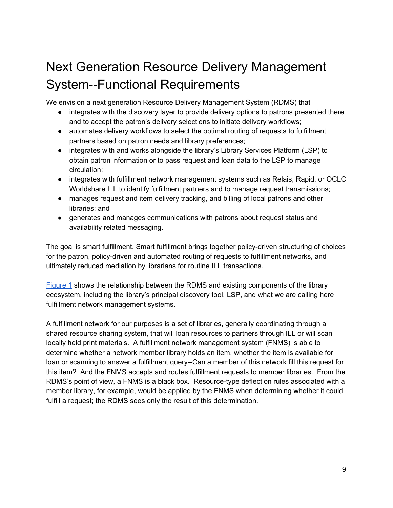# Next Generation Resource Delivery Management System--Functional Requirements

We envision a next generation Resource Delivery Management System (RDMS) that

- integrates with the discovery layer to provide delivery options to patrons presented there and to accept the patron's delivery selections to initiate delivery workflows;
- automates delivery workflows to select the optimal routing of requests to fulfillment partners based on patron needs and library preferences;
- integrates with and works alongside the library's Library Services Platform (LSP) to obtain patron information or to pass request and loan data to the LSP to manage circulation;
- integrates with fulfillment network management systems such as Relais, Rapid, or OCLC Worldshare ILL to identify fulfillment partners and to manage request transmissions;
- manages request and item delivery tracking, and billing of local patrons and other libraries; and
- generates and manages communications with patrons about request status and availability related messaging.

The goal is smart fulfillment. Smart fulfillment brings together policy-driven structuring of choices for the patron, policy-driven and automated routing of requests to fulfillment networks, and ultimately reduced mediation by librarians for routine ILL transactions.

[Figure](#page-10-0) 1 shows the relationship between the RDMS and existing components of the library ecosystem, including the library's principal discovery tool, LSP, and what we are calling here fulfillment network management systems.

A fulfillment network for our purposes is a set of libraries, generally coordinating through a shared resource sharing system, that will loan resources to partners through ILL or will scan locally held print materials. A fulfillment network management system (FNMS) is able to determine whether a network member library holds an item, whether the item is available for loan or scanning to answer a fulfillment query--Can a member of this network fill this request for this item? And the FNMS accepts and routes fulfillment requests to member libraries. From the RDMS's point of view, a FNMS is a black box. Resource-type deflection rules associated with a member library, for example, would be applied by the FNMS when determining whether it could fulfill a request; the RDMS sees only the result of this determination.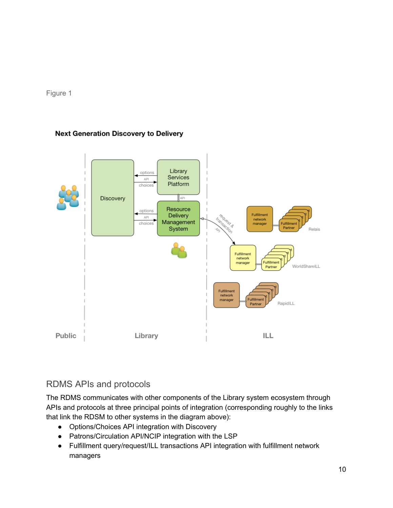<span id="page-10-0"></span>

#### **Next Generation Discovery to Delivery**



### RDMS APIs and protocols

The RDMS communicates with other components of the Library system ecosystem through APIs and protocols at three principal points of integration (corresponding roughly to the links that link the RDSM to other systems in the diagram above):

- Options/Choices API integration with Discovery
- Patrons/Circulation API/NCIP integration with the LSP
- Fulfillment query/request/ILL transactions API integration with fulfillment network managers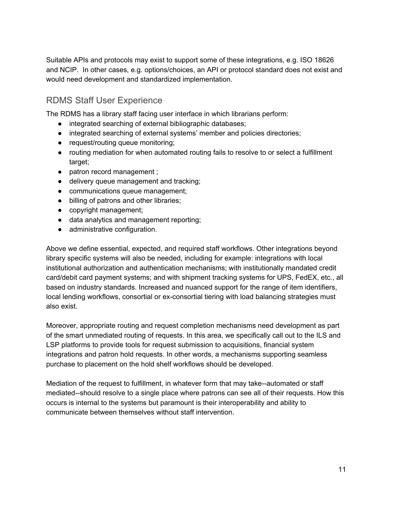Suitable APIs and protocols may exist to support some of these integrations, e.g. ISO 18626 and NCIP. In other cases, e.g. options/choices, an API or protocol standard does not exist and would need development and standardized implementation.

#### RDMS Staff User Experience

The RDMS has a library staff facing user interface in which librarians perform:

- integrated searching of external bibliographic databases;
- integrated searching of external systems' member and policies directories;
- request/routing queue monitoring;
- routing mediation for when automated routing fails to resolve to or select a fulfillment target;
- patron record management ;
- delivery queue management and tracking;
- communications queue management;
- billing of patrons and other libraries;
- copyright management;
- data analytics and management reporting;
- administrative configuration.

Above we define essential, expected, and required staff workflows. Other integrations beyond library specific systems will also be needed, including for example: integrations with local institutional authorization and authentication mechanisms; with institutionally mandated credit card/debit card payment systems; and with shipment tracking systems for UPS, FedEX, etc., all based on industry standards. Increased and nuanced support for the range of item identifiers, local lending workflows, consortial or ex-consortial tiering with load balancing strategies must also exist.

Moreover, appropriate routing and request completion mechanisms need development as part of the smart unmediated routing of requests. In this area, we specifically call out to the ILS and LSP platforms to provide tools for request submission to acquisitions, financial system integrations and patron hold requests. In other words, a mechanisms supporting seamless purchase to placement on the hold shelf workflows should be developed.

Mediation of the request to fulfillment, in whatever form that may take--automated or staff mediated--should resolve to a single place where patrons can see all of their requests. How this occurs is internal to the systems but paramount is their interoperability and ability to communicate between themselves without staff intervention.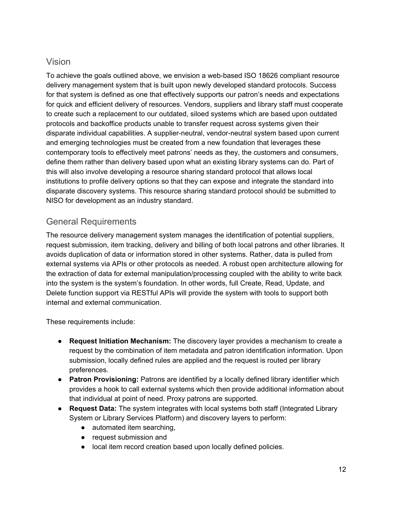#### Vision

To achieve the goals outlined above, we envision a web-based ISO 18626 compliant resource delivery management system that is built upon newly developed standard protocols. Success for that system is defined as one that effectively supports our patron's needs and expectations for quick and efficient delivery of resources. Vendors, suppliers and library staff must cooperate to create such a replacement to our outdated, siloed systems which are based upon outdated protocols and backoffice products unable to transfer request across systems given their disparate individual capabilities. A supplier-neutral, vendor-neutral system based upon current and emerging technologies must be created from a new foundation that leverages these contemporary tools to effectively meet patrons' needs as they, the customers and consumers, define them rather than delivery based upon what an existing library systems can do. Part of this will also involve developing a resource sharing standard protocol that allows local institutions to profile delivery options so that they can expose and integrate the standard into disparate discovery systems. This resource sharing standard protocol should be submitted to NISO for development as an industry standard.

### General Requirements

The resource delivery management system manages the identification of potential suppliers, request submission, item tracking, delivery and billing of both local patrons and other libraries. It avoids duplication of data or information stored in other systems. Rather, data is pulled from external systems via APIs or other protocols as needed. A robust open architecture allowing for the extraction of data for external manipulation/processing coupled with the ability to write back into the system is the system's foundation. In other words, full Create, Read, Update, and Delete function support via RESTful APIs will provide the system with tools to support both internal and external communication.

These requirements include:

- **Request Initiation Mechanism:** The discovery layer provides a mechanism to create a request by the combination of item metadata and patron identification information. Upon submission, locally defined rules are applied and the request is routed per library preferences.
- **Patron Provisioning:** Patrons are identified by a locally defined library identifier which provides a hook to call external systems which then provide additional information about that individual at point of need. Proxy patrons are supported.
- **Request Data:** The system integrates with local systems both staff (Integrated Library System or Library Services Platform) and discovery layers to perform:
	- automated item searching,
	- request submission and
	- local item record creation based upon locally defined policies.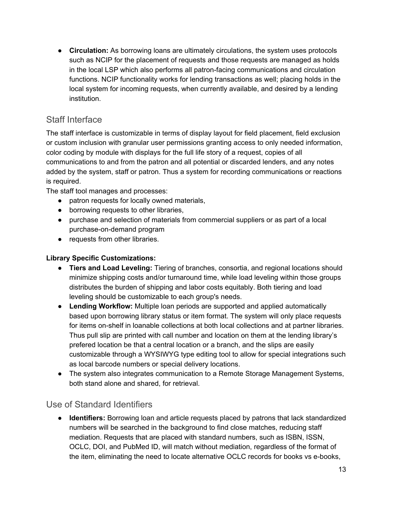● **Circulation:** As borrowing loans are ultimately circulations, the system uses protocols such as NCIP for the placement of requests and those requests are managed as holds in the local LSP which also performs all patron-facing communications and circulation functions. NCIP functionality works for lending transactions as well; placing holds in the local system for incoming requests, when currently available, and desired by a lending institution.

## Staff Interface

The staff interface is customizable in terms of display layout for field placement, field exclusion or custom inclusion with granular user permissions granting access to only needed information, color coding by module with displays for the full life story of a request, copies of all communications to and from the patron and all potential or discarded lenders, and any notes added by the system, staff or patron. Thus a system for recording communications or reactions is required.

The staff tool manages and processes:

- patron requests for locally owned materials,
- borrowing requests to other libraries,
- purchase and selection of materials from commercial suppliers or as part of a local purchase-on-demand program
- requests from other libraries.

#### **Library Specific Customizations:**

- **Tiers and Load Leveling:** Tiering of branches, consortia, and regional locations should minimize shipping costs and/or turnaround time, while load leveling within those groups distributes the burden of shipping and labor costs equitably. Both tiering and load leveling should be customizable to each group's needs.
- **Lending Workflow:** Multiple loan periods are supported and applied automatically based upon borrowing library status or item format. The system will only place requests for items on-shelf in loanable collections at both local collections and at partner libraries. Thus pull slip are printed with call number and location on them at the lending library's prefered location be that a central location or a branch, and the slips are easily customizable through a WYSIWYG type editing tool to allow for special integrations such as local barcode numbers or special delivery locations.
- The system also integrates communication to a Remote Storage Management Systems, both stand alone and shared, for retrieval.

#### Use of Standard Identifiers

● **Identifiers:** Borrowing loan and article requests placed by patrons that lack standardized numbers will be searched in the background to find close matches, reducing staff mediation. Requests that are placed with standard numbers, such as ISBN, ISSN, OCLC, DOI, and PubMed ID, will match without mediation, regardless of the format of the item, eliminating the need to locate alternative OCLC records for books vs e-books,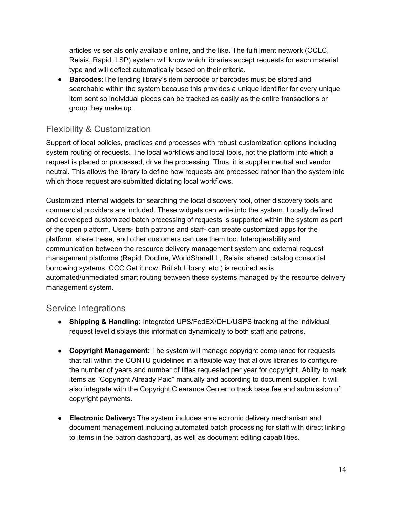articles vs serials only available online, and the like. The fulfillment network (OCLC, Relais, Rapid, LSP) system will know which libraries accept requests for each material type and will deflect automatically based on their criteria.

● **Barcodes:**The lending library's item barcode or barcodes must be stored and searchable within the system because this provides a unique identifier for every unique item sent so individual pieces can be tracked as easily as the entire transactions or group they make up.

### Flexibility & Customization

Support of local policies, practices and processes with robust customization options including system routing of requests. The local workflows and local tools, not the platform into which a request is placed or processed, drive the processing. Thus, it is supplier neutral and vendor neutral. This allows the library to define how requests are processed rather than the system into which those request are submitted dictating local workflows.

Customized internal widgets for searching the local discovery tool, other discovery tools and commercial providers are included. These widgets can write into the system. Locally defined and developed customized batch processing of requests is supported within the system as part of the open platform. Users- both patrons and staff- can create customized apps for the platform, share these, and other customers can use them too. Interoperability and communication between the resource delivery management system and external request management platforms (Rapid, Docline, WorldShareILL, Relais, shared catalog consortial borrowing systems, CCC Get it now, British Library, etc.) is required as is automated/unmediated smart routing between these systems managed by the resource delivery management system.

#### Service Integrations

- **Shipping & Handling:** Integrated UPS/FedEX/DHL/USPS tracking at the individual request level displays this information dynamically to both staff and patrons.
- **Copyright Management:** The system will manage copyright compliance for requests that fall within the CONTU guidelines in a flexible way that allows libraries to configure the number of years and number of titles requested per year for copyright. Ability to mark items as "Copyright Already Paid" manually and according to document supplier. It will also integrate with the Copyright Clearance Center to track base fee and submission of copyright payments.
- **Electronic Delivery:** The system includes an electronic delivery mechanism and document management including automated batch processing for staff with direct linking to items in the patron dashboard, as well as document editing capabilities.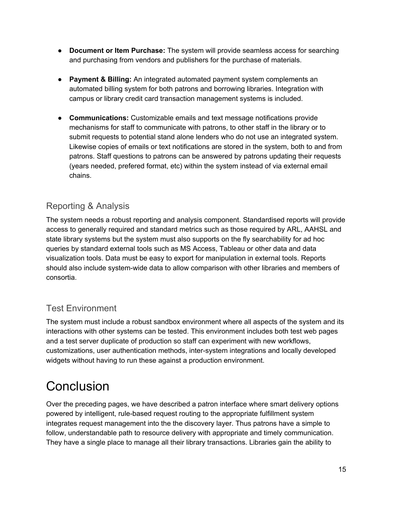- **Document or Item Purchase:** The system will provide seamless access for searching and purchasing from vendors and publishers for the purchase of materials.
- **Payment & Billing:** An integrated automated payment system complements an automated billing system for both patrons and borrowing libraries. Integration with campus or library credit card transaction management systems is included.
- **Communications:** Customizable emails and text message notifications provide mechanisms for staff to communicate with patrons, to other staff in the library or to submit requests to potential stand alone lenders who do not use an integrated system. Likewise copies of emails or text notifications are stored in the system, both to and from patrons. Staff questions to patrons can be answered by patrons updating their requests (years needed, prefered format, etc) within the system instead of via external email chains.

### Reporting & Analysis

The system needs a robust reporting and analysis component. Standardised reports will provide access to generally required and standard metrics such as those required by ARL, AAHSL and state library systems but the system must also supports on the fly searchability for ad hoc queries by standard external tools such as MS Access, Tableau or other data and data visualization tools. Data must be easy to export for manipulation in external tools. Reports should also include system-wide data to allow comparison with other libraries and members of consortia.

### Test Environment

The system must include a robust sandbox environment where all aspects of the system and its interactions with other systems can be tested. This environment includes both test web pages and a test server duplicate of production so staff can experiment with new workflows, customizations, user authentication methods, inter-system integrations and locally developed widgets without having to run these against a production environment.

# **Conclusion**

Over the preceding pages, we have described a patron interface where smart delivery options powered by intelligent, rule-based request routing to the appropriate fulfillment system integrates request management into the the discovery layer. Thus patrons have a simple to follow, understandable path to resource delivery with appropriate and timely communication. They have a single place to manage all their library transactions. Libraries gain the ability to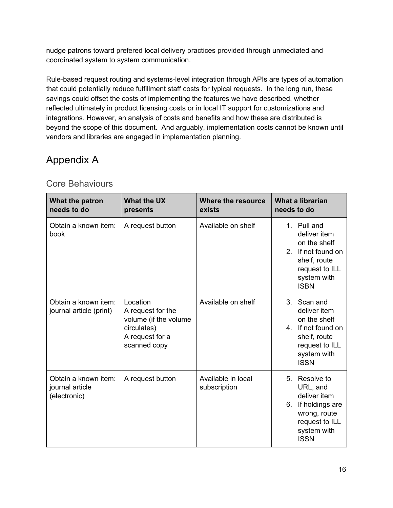nudge patrons toward prefered local delivery practices provided through unmediated and coordinated system to system communication.

Rule-based request routing and systems-level integration through APIs are types of automation that could potentially reduce fulfillment staff costs for typical requests. In the long run, these savings could offset the costs of implementing the features we have described, whether reflected ultimately in product licensing costs or in local IT support for customizations and integrations. However, an analysis of costs and benefits and how these are distributed is beyond the scope of this document. And arguably, implementation costs cannot be known until vendors and libraries are engaged in implementation planning.

## Appendix A

| What the patron<br>needs to do                          | <b>What the UX</b><br>presents                                                                           | Where the resource<br>exists       | What a librarian<br>needs to do                                                                                                    |
|---------------------------------------------------------|----------------------------------------------------------------------------------------------------------|------------------------------------|------------------------------------------------------------------------------------------------------------------------------------|
| Obtain a known item:<br>book                            | A request button                                                                                         | Available on shelf                 | 1. Pull and<br>deliver item<br>on the shelf<br>2. If not found on<br>shelf, route<br>request to ILL<br>system with<br><b>ISBN</b>  |
| Obtain a known item:<br>journal article (print)         | Location<br>A request for the<br>volume (if the volume<br>circulates)<br>A request for a<br>scanned copy | Available on shelf                 | 3. Scan and<br>deliver item<br>on the shelf<br>4. If not found on<br>shelf, route<br>request to ILL<br>system with<br><b>ISSN</b>  |
| Obtain a known item:<br>journal article<br>(electronic) | A request button                                                                                         | Available in local<br>subscription | 5. Resolve to<br>URL, and<br>deliver item<br>If holdings are<br>6.<br>wrong, route<br>request to ILL<br>system with<br><b>ISSN</b> |

#### Core Behaviours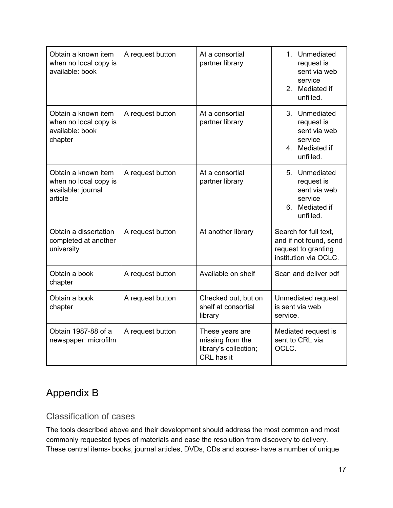| Obtain a known item<br>when no local copy is<br>available: book               | A request button | At a consortial<br>partner library                                                                                            | 1. Unmediated<br>request is<br>sent via web<br>service<br>2 <sup>1</sup><br>Mediated if<br>unfilled. |  |
|-------------------------------------------------------------------------------|------------------|-------------------------------------------------------------------------------------------------------------------------------|------------------------------------------------------------------------------------------------------|--|
| Obtain a known item<br>when no local copy is<br>available: book<br>chapter    | A request button | At a consortial<br>partner library                                                                                            | 3. Unmediated<br>request is<br>sent via web<br>service<br>4. Mediated if<br>unfilled.                |  |
| Obtain a known item<br>when no local copy is<br>available: journal<br>article | A request button | At a consortial<br>partner library                                                                                            | 5. Unmediated<br>request is<br>sent via web<br>service<br>6. Mediated if<br>unfilled.                |  |
| Obtain a dissertation<br>completed at another<br>university                   | A request button | At another library                                                                                                            | Search for full text,<br>and if not found, send<br>request to granting<br>institution via OCLC.      |  |
| Obtain a book<br>chapter                                                      | A request button | Available on shelf                                                                                                            | Scan and deliver pdf                                                                                 |  |
| Obtain a book<br>chapter                                                      | A request button | Checked out, but on<br>shelf at consortial<br>library                                                                         | Unmediated request<br>is sent via web<br>service.                                                    |  |
| Obtain 1987-88 of a<br>newspaper: microfilm                                   | A request button | Mediated request is<br>These years are<br>missing from the<br>sent to CRL via<br>library's collection;<br>OCLC.<br>CRL has it |                                                                                                      |  |

# <span id="page-17-0"></span>Appendix B

#### Classification of cases

The tools described above and their development should address the most common and most commonly requested types of materials and ease the resolution from discovery to delivery. These central items- books, journal articles, DVDs, CDs and scores- have a number of unique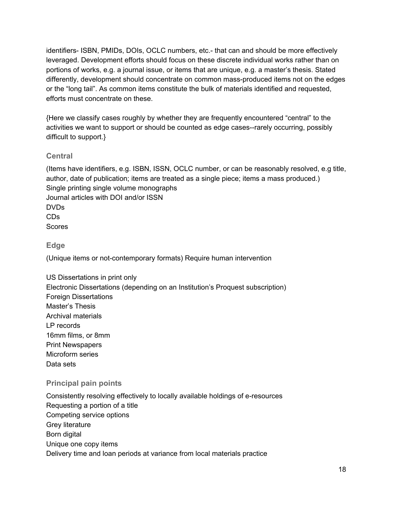identifiers- ISBN, PMIDs, DOIs, OCLC numbers, etc.- that can and should be more effectively leveraged. Development efforts should focus on these discrete individual works rather than on portions of works, e.g. a journal issue, or items that are unique, e.g. a master's thesis. Stated differently, development should concentrate on common mass-produced items not on the edges or the "long tail". As common items constitute the bulk of materials identified and requested, efforts must concentrate on these.

{Here we classify cases roughly by whether they are frequently encountered "central" to the activities we want to support or should be counted as edge cases--rarely occurring, possibly difficult to support.}

#### **Central**

(Items have identifiers, e.g. ISBN, ISSN, OCLC number, or can be reasonably resolved, e.g title, author, date of publication; items are treated as a single piece; items a mass produced.) Single printing single volume monographs Journal articles with DOI and/or ISSN DVDs CDs Scores

**Edge**

(Unique items or not-contemporary formats) Require human intervention

US Dissertations in print only Electronic Dissertations (depending on an Institution's Proquest subscription) Foreign Dissertations Master's Thesis Archival materials LP records 16mm films, or 8mm Print Newspapers Microform series Data sets

#### **Principal pain points**

Consistently resolving effectively to locally available holdings of e-resources Requesting a portion of a title Competing service options Grey literature Born digital Unique one copy items Delivery time and loan periods at variance from local materials practice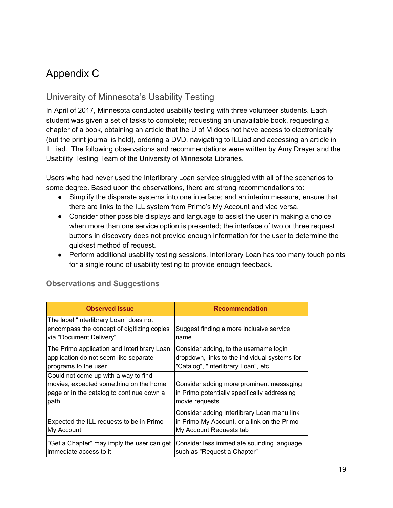# <span id="page-19-0"></span>Appendix C

### University of Minnesota's Usability Testing

In April of 2017, Minnesota conducted usability testing with three volunteer students. Each student was given a set of tasks to complete; requesting an unavailable book, requesting a chapter of a book, obtaining an article that the U of M does not have access to electronically (but the print journal is held), ordering a DVD, navigating to ILLiad and accessing an article in ILLiad. The following observations and recommendations were written by Amy Drayer and the Usability Testing Team of the University of Minnesota Libraries.

Users who had never used the Interlibrary Loan service struggled with all of the scenarios to some degree. Based upon the observations, there are strong recommendations to:

- Simplify the disparate systems into one interface; and an interim measure, ensure that there are links to the ILL system from Primo's My Account and vice versa.
- Consider other possible displays and language to assist the user in making a choice when more than one service option is presented; the interface of two or three request buttons in discovery does not provide enough information for the user to determine the quickest method of request.
- Perform additional usability testing sessions. Interlibrary Loan has too many touch points for a single round of usability testing to provide enough feedback.

| <b>Observed Issue</b>                                                                                                               | <b>Recommendation</b>                                                                                                          |
|-------------------------------------------------------------------------------------------------------------------------------------|--------------------------------------------------------------------------------------------------------------------------------|
| The label "Interlibrary Loan" does not<br>encompass the concept of digitizing copies<br>via "Document Delivery"                     | Suggest finding a more inclusive service<br>name                                                                               |
| The Primo application and Interlibrary Loan<br>application do not seem like separate<br>programs to the user                        | Consider adding, to the username login<br>dropdown, links to the individual systems for<br>"Catalog", "Interlibrary Loan", etc |
| Could not come up with a way to find<br>movies, expected something on the home<br>page or in the catalog to continue down a<br>path | Consider adding more prominent messaging<br>in Primo potentially specifically addressing<br>movie requests                     |
| Expected the ILL requests to be in Primo<br>My Account                                                                              | Consider adding Interlibrary Loan menu link<br>in Primo My Account, or a link on the Primo<br>My Account Requests tab          |
| "Get a Chapter" may imply the user can get<br>immediate access to it                                                                | Consider less immediate sounding language<br>such as "Request a Chapter"                                                       |

#### **Observations and Suggestions**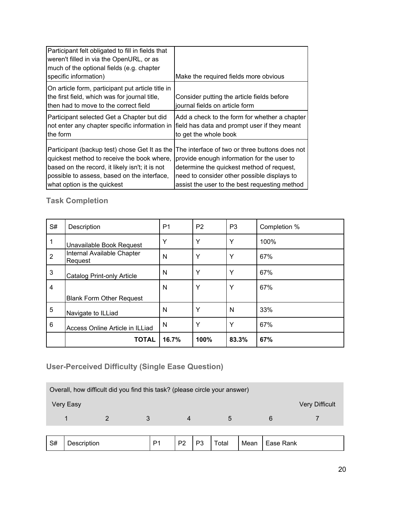| Participant felt obligated to fill in fields that<br>weren't filled in via the OpenURL, or as<br>much of the optional fields (e.g. chapter<br>specific information) | Make the required fields more obvious                                        |
|---------------------------------------------------------------------------------------------------------------------------------------------------------------------|------------------------------------------------------------------------------|
| On article form, participant put article title in<br>the first field, which was for journal title,<br>then had to move to the correct field                         | Consider putting the article fields before<br>iournal fields on article form |
| Participant selected Get a Chapter but did                                                                                                                          | Add a check to the form for whether a chapter                                |
| not enter any chapter specific information in                                                                                                                       | field has data and prompt user if they meant                                 |
| the form                                                                                                                                                            | to get the whole book                                                        |
| Participant (backup test) chose Get It as the                                                                                                                       | The interface of two or three buttons does not                               |
| quickest method to receive the book where,                                                                                                                          | provide enough information for the user to                                   |
| based on the record, it likely isn't; it is not                                                                                                                     | determine the quickest method of request,                                    |
| possible to assess, based on the interface,                                                                                                                         | need to consider other possible displays to                                  |
| what option is the quickest                                                                                                                                         | assist the user to the best requesting method                                |

## **Task Completion**

| S#             | Description                           | P <sub>1</sub> | P <sub>2</sub> | P <sub>3</sub> | Completion % |
|----------------|---------------------------------------|----------------|----------------|----------------|--------------|
| 1              | Unavailable Book Request              | Υ              | Y              | Υ              | 100%         |
| $\overline{2}$ | Internal Available Chapter<br>Request | N              | Y              | Y              | 67%          |
| 3              | <b>Catalog Print-only Article</b>     | N              | Υ              | Y              | 67%          |
| 4              |                                       | N              | Y              | Υ              | 67%          |
|                | <b>Blank Form Other Request</b>       |                |                |                |              |
| 5              | Navigate to ILLiad                    | N              | Υ              | N              | 33%          |
| 6              | Access Online Article in ILLiad       | N              | Y              | Υ              | 67%          |
|                | <b>TOTAL</b>                          | 16.7%          | 100%           | 83.3%          | 67%          |

## **User-Perceived Difficulty (Single Ease Question)**

| Overall, how difficult did you find this task? (please circle your answer) |  |   |   |   |   |                       |
|----------------------------------------------------------------------------|--|---|---|---|---|-----------------------|
| Very Easy                                                                  |  |   |   |   |   | <b>Very Difficult</b> |
|                                                                            |  | 3 | 4 | 5 | 6 |                       |
|                                                                            |  |   |   |   |   |                       |

| $\overline{\phantom{0}}$<br>Rank<br>$\sim$<br>D <sub>C</sub><br>$\mathbf{a}$<br>D <sub>0</sub><br>ota<br>Mean<br>⊃#<br>-<br>'OliOI .<br>.<br>$- - - -$ |
|--------------------------------------------------------------------------------------------------------------------------------------------------------|
|--------------------------------------------------------------------------------------------------------------------------------------------------------|